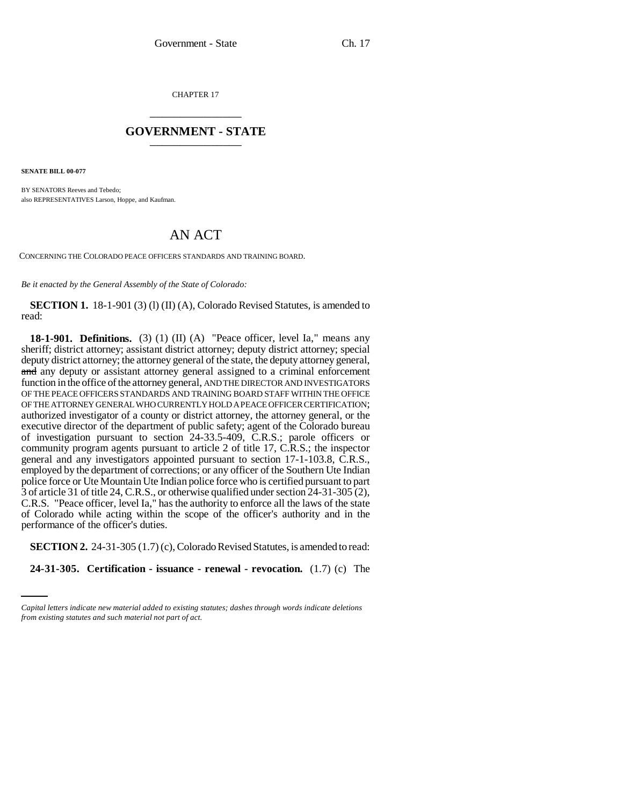CHAPTER 17 \_\_\_\_\_\_\_\_\_\_\_\_\_\_\_

## **GOVERNMENT - STATE** \_\_\_\_\_\_\_\_\_\_\_\_\_\_\_

**SENATE BILL 00-077** 

BY SENATORS Reeves and Tebedo; also REPRESENTATIVES Larson, Hoppe, and Kaufman.

## AN ACT

CONCERNING THE COLORADO PEACE OFFICERS STANDARDS AND TRAINING BOARD.

*Be it enacted by the General Assembly of the State of Colorado:*

**SECTION 1.** 18-1-901 (3) (1) (II) (A), Colorado Revised Statutes, is amended to read:

**18-1-901. Definitions.** (3) (1) (II) (A) "Peace officer, level Ia," means any sheriff; district attorney; assistant district attorney; deputy district attorney; special deputy district attorney; the attorney general of the state, the deputy attorney general, and any deputy or assistant attorney general assigned to a criminal enforcement function in the office of the attorney general, AND THE DIRECTOR AND INVESTIGATORS OF THE PEACE OFFICERS STANDARDS AND TRAINING BOARD STAFF WITHIN THE OFFICE OF THE ATTORNEY GENERAL WHO CURRENTLY HOLD A PEACE OFFICER CERTIFICATION; authorized investigator of a county or district attorney, the attorney general, or the executive director of the department of public safety; agent of the Colorado bureau of investigation pursuant to section 24-33.5-409, C.R.S.; parole officers or community program agents pursuant to article 2 of title 17, C.R.S.; the inspector general and any investigators appointed pursuant to section 17-1-103.8, C.R.S., employed by the department of corrections; or any officer of the Southern Ute Indian police force or Ute Mountain Ute Indian police force who is certified pursuant to part 3 of article 31 of title 24, C.R.S., or otherwise qualified under section 24-31-305 (2), C.R.S. "Peace officer, level Ia," has the authority to enforce all the laws of the state of Colorado while acting within the scope of the officer's authority and in the performance of the officer's duties.

**SECTION 2.** 24-31-305 (1.7) (c), Colorado Revised Statutes, is amended to read:

**24-31-305. Certification - issuance - renewal - revocation.** (1.7) (c) The

*Capital letters indicate new material added to existing statutes; dashes through words indicate deletions from existing statutes and such material not part of act.*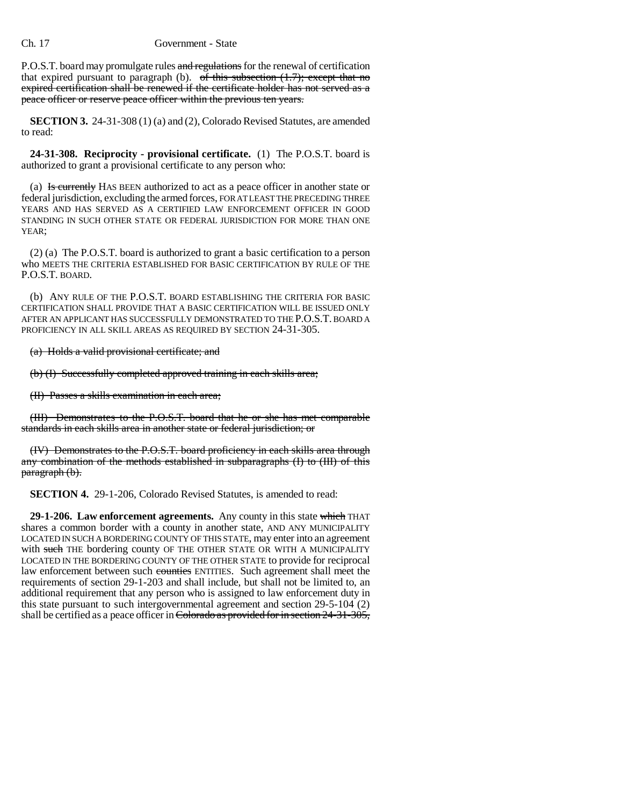P.O.S.T. board may promulgate rules and regulations for the renewal of certification that expired pursuant to paragraph (b). of this subsection  $(1.7)$ ; except that no expired certification shall be renewed if the certificate holder has not served as a peace officer or reserve peace officer within the previous ten years.

**SECTION 3.** 24-31-308 (1) (a) and (2), Colorado Revised Statutes, are amended to read:

**24-31-308. Reciprocity - provisional certificate.** (1) The P.O.S.T. board is authorized to grant a provisional certificate to any person who:

(a) Is currently HAS BEEN authorized to act as a peace officer in another state or federal jurisdiction, excluding the armed forces, FOR AT LEAST THE PRECEDING THREE YEARS AND HAS SERVED AS A CERTIFIED LAW ENFORCEMENT OFFICER IN GOOD STANDING IN SUCH OTHER STATE OR FEDERAL JURISDICTION FOR MORE THAN ONE YEAR;

(2) (a) The P.O.S.T. board is authorized to grant a basic certification to a person who MEETS THE CRITERIA ESTABLISHED FOR BASIC CERTIFICATION BY RULE OF THE P.O.S.T. BOARD.

(b) ANY RULE OF THE P.O.S.T. BOARD ESTABLISHING THE CRITERIA FOR BASIC CERTIFICATION SHALL PROVIDE THAT A BASIC CERTIFICATION WILL BE ISSUED ONLY AFTER AN APPLICANT HAS SUCCESSFULLY DEMONSTRATED TO THE P.O.S.T. BOARD A PROFICIENCY IN ALL SKILL AREAS AS REQUIRED BY SECTION 24-31-305.

(a) Holds a valid provisional certificate; and

(b) (I) Successfully completed approved training in each skills area;

(II) Passes a skills examination in each area;

(III) Demonstrates to the P.O.S.T. board that he or she has met comparable standards in each skills area in another state or federal jurisdiction; or

(IV) Demonstrates to the P.O.S.T. board proficiency in each skills area through any combination of the methods established in subparagraphs (I) to (III) of this paragraph (b).

**SECTION 4.** 29-1-206, Colorado Revised Statutes, is amended to read:

**29-1-206. Law enforcement agreements.** Any county in this state which THAT shares a common border with a county in another state, AND ANY MUNICIPALITY LOCATED IN SUCH A BORDERING COUNTY OF THIS STATE, may enter into an agreement with such THE bordering county OF THE OTHER STATE OR WITH A MUNICIPALITY LOCATED IN THE BORDERING COUNTY OF THE OTHER STATE to provide for reciprocal law enforcement between such counties ENTITIES. Such agreement shall meet the requirements of section 29-1-203 and shall include, but shall not be limited to, an additional requirement that any person who is assigned to law enforcement duty in this state pursuant to such intergovernmental agreement and section 29-5-104 (2) shall be certified as a peace officer in Colorado as provided for in section 24-31-305,